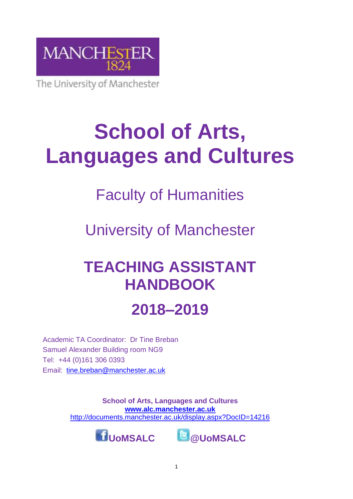

# **School of Arts, Languages and Cultures**

# Faculty of Humanities

# University of Manchester

# **TEACHING ASSISTANT HANDBOOK**

# **2018–2019**

Academic TA Coordinator: Dr Tine Breban Samuel Alexander Building room NG9 Tel: +44 (0)161 306 0393 Email: [tine.breban@manchester.ac.uk](mailto:tine.breban@manchester.ac.uk) 

> **School of Arts, Languages and Cultures [www.alc.manchester.ac.uk](http://www.alc.manchester.ac.uk/)** <http://documents.manchester.ac.uk/display.aspx?DocID=14216>



1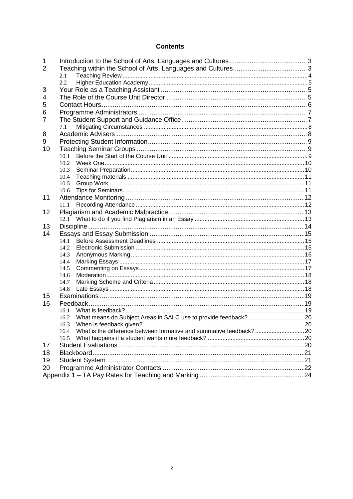# **Contents**

| 1  |                                                                          |  |
|----|--------------------------------------------------------------------------|--|
| 2  |                                                                          |  |
|    | 2.1                                                                      |  |
|    | 2.2                                                                      |  |
| 3  |                                                                          |  |
| 4  |                                                                          |  |
| 5  |                                                                          |  |
| 6  |                                                                          |  |
| 7  |                                                                          |  |
|    | 7.1                                                                      |  |
| 8  |                                                                          |  |
| 9  |                                                                          |  |
| 10 |                                                                          |  |
|    | 10.1                                                                     |  |
|    | 10.2                                                                     |  |
|    | 10.3                                                                     |  |
|    | 10.4                                                                     |  |
|    | 10.5                                                                     |  |
|    | 10.6                                                                     |  |
| 11 |                                                                          |  |
|    | 11.1                                                                     |  |
| 12 |                                                                          |  |
|    |                                                                          |  |
| 13 |                                                                          |  |
| 14 |                                                                          |  |
|    | 14.1                                                                     |  |
|    | 14.2                                                                     |  |
|    | 14.3<br>14.4                                                             |  |
|    | 14.5                                                                     |  |
|    | 14.6                                                                     |  |
|    | 14.7                                                                     |  |
|    | 14.8                                                                     |  |
| 15 |                                                                          |  |
| 16 |                                                                          |  |
|    | 16.1                                                                     |  |
|    | 16.2                                                                     |  |
|    | 16.3                                                                     |  |
|    | What is the difference between formative and summative feedback?<br>16.4 |  |
|    | 16.5                                                                     |  |
| 17 |                                                                          |  |
| 18 |                                                                          |  |
| 19 |                                                                          |  |
| 20 |                                                                          |  |
|    |                                                                          |  |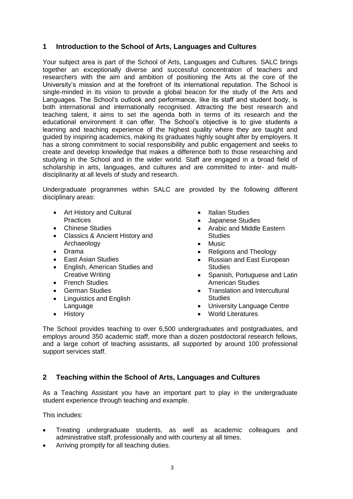# <span id="page-2-0"></span>**1 Introduction to the School of Arts, Languages and Cultures**

Your subject area is part of the School of Arts, Languages and Cultures. SALC brings together an exceptionally diverse and successful concentration of teachers and researchers with the aim and ambition of positioning the Arts at the core of the University's mission and at the forefront of its international reputation. The School is single-minded in its vision to provide a global beacon for the study of the Arts and Languages. The School's outlook and performance, like its staff and student body, is both international and internationally recognised. Attracting the best research and teaching talent, it aims to set the agenda both in terms of its research and the educational environment it can offer. The School's objective is to give students a learning and teaching experience of the highest quality where they are taught and guided by inspiring academics, making its graduates highly sought after by employers. It has a strong commitment to social responsibility and public engagement and seeks to create and develop knowledge that makes a difference both to those researching and studying in the School and in the wider world. Staff are engaged in a broad field of scholarship in arts, languages, and cultures and are committed to inter- and multidisciplinarity at all levels of study and research.

Undergraduate programmes within SALC are provided by the following different disciplinary areas:

- Art History and Cultural **Practices**
- Chinese Studies
- Classics & Ancient History and Archaeology
- Drama
- East Asian Studies
- English, American Studies and Creative Writing
- French Studies
- **•** German Studies
- Linguistics and English Language
- History
- Italian Studies
- Japanese Studies
- Arabic and Middle Eastern **Studies**
- Music
- Religions and Theology
- Russian and East European **Studies**
- Spanish, Portuguese and Latin American Studies
- Translation and Intercultural **Studies**
- University Language Centre
- World Literatures

The School provides teaching to over 6,500 undergraduates and postgraduates, and employs around 350 academic staff, more than a dozen postdoctoral research fellows, and a large cohort of teaching assistants, all supported by around 100 professional support services staff.

# <span id="page-2-1"></span>**2 Teaching within the School of Arts, Languages and Cultures**

As a Teaching Assistant you have an important part to play in the undergraduate student experience through teaching and example.

This includes:

- Treating undergraduate students, as well as academic colleagues and administrative staff, professionally and with courtesy at all times.
- Arriving promptly for all teaching duties.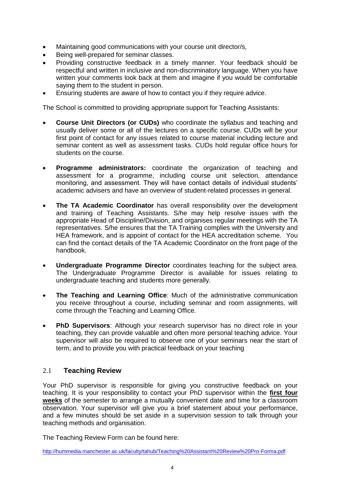- Maintaining good communications with your course unit director/s,
- Being well-prepared for seminar classes.
- Providing constructive feedback in a timely manner. Your feedback should be respectful and written in inclusive and non-discriminatory language. When you have written your comments look back at them and imagine if you would be comfortable saying them to the student in person.
- Ensuring students are aware of how to contact you if they require advice.

The School is committed to providing appropriate support for Teaching Assistants:

- **Course Unit Directors (or CUDs)** who coordinate the syllabus and teaching and usually deliver some or all of the lectures on a specific course. CUDs will be your first point of contact for any issues related to course material including lecture and seminar content as well as assessment tasks. CUDs hold regular office hours for students on the course.
- **Programme administrators:** coordinate the organization of teaching and assessment for a programme, including course unit selection, attendance monitoring, and assessment. They will have contact details of individual students' academic advisers and have an overview of student-related processes in general.
- **The TA Academic Coordinator** has overall responsibility over the development and training of Teaching Assistants. S/he may help resolve issues with the appropriate Head of Discipline/Division, and organises regular meetings with the TA representatives. S/he ensures that the TA Training complies with the University and HEA framework, and is appoint of contact for the HEA accreditation scheme. You can find the contact details of the TA Academic Coordinator on the front page of the handbook.
- **Undergraduate Programme Director** coordinates teaching for the subject area. The Undergraduate Programme Director is available for issues relating to undergraduate teaching and students more generally.
- **The Teaching and Learning Office**: Much of the administrative communication you receive throughout a course, including seminar and room assignments, will come through the Teaching and Learning Office.
- **PhD Supervisors**: Although your research supervisor has no direct role in your teaching, they can provide valuable and often more personal teaching advice. Your supervisor will also be required to observe one of your seminars near the start of term, and to provide you with practical feedback on your teaching

# <span id="page-3-0"></span>2.1 **Teaching Review**

Your PhD supervisor is responsible for giving you constructive feedback on your teaching. It is your responsibility to contact your PhD supervisor within the **first four weeks** of the semester to arrange a mutually convenient date and time for a classroom observation. Your supervisor will give you a brief statement about your performance, and a few minutes should be set aside in a supervision session to talk through your teaching methods and organisation.

The Teaching Review Form can be found here:

<http://hummedia.manchester.ac.uk/faculty/tahub/Teaching%20Assistant%20Review%20Pro-Forma.pdf>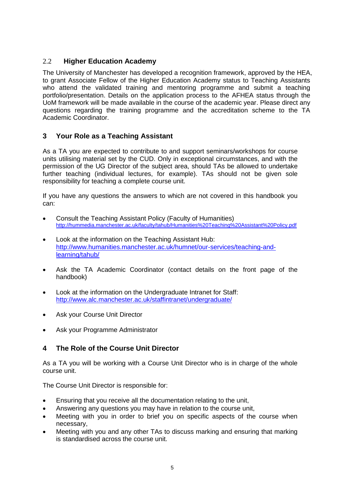# <span id="page-4-0"></span>2.2 **Higher Education Academy**

The University of Manchester has developed a recognition framework, approved by the HEA, to grant Associate Fellow of the Higher Education Academy status to Teaching Assistants who attend the validated training and mentoring programme and submit a teaching portfolio/presentation. Details on the application process to the AFHEA status through the UoM framework will be made available in the course of the academic year. Please direct any questions regarding the training programme and the accreditation scheme to the TA Academic Coordinator.

# <span id="page-4-1"></span>**3 Your Role as a Teaching Assistant**

As a TA you are expected to contribute to and support seminars/workshops for course units utilising material set by the CUD. Only in exceptional circumstances, and with the permission of the UG Director of the subject area, should TAs be allowed to undertake further teaching (individual lectures, for example). TAs should not be given sole responsibility for teaching a complete course unit.

If you have any questions the answers to which are not covered in this handbook you can:

- Consult the Teaching Assistant Policy (Faculty of Humanities) <http://hummedia.manchester.ac.uk/faculty/tahub/Humanities%20Teaching%20Assistant%20Policy.pdf>
- Look at the information on the Teaching Assistant Hub: [http://www.humanities.manchester.ac.uk/humnet/our-services/teaching-and](http://www.humanities.manchester.ac.uk/humnet/our-services/teaching-and-learning/tahub/)[learning/tahub/](http://www.humanities.manchester.ac.uk/humnet/our-services/teaching-and-learning/tahub/)
- Ask the TA Academic Coordinator (contact details on the front page of the handbook)
- Look at the information on the Undergraduate Intranet for Staff: <http://www.alc.manchester.ac.uk/staffintranet/undergraduate/>
- Ask your Course Unit Director
- Ask your Programme Administrator

# <span id="page-4-2"></span>**4 The Role of the Course Unit Director**

As a TA you will be working with a Course Unit Director who is in charge of the whole course unit.

The Course Unit Director is responsible for:

- Ensuring that you receive all the documentation relating to the unit,
- Answering any questions you may have in relation to the course unit,
- Meeting with you in order to brief you on specific aspects of the course when necessary,
- Meeting with you and any other TAs to discuss marking and ensuring that marking is standardised across the course unit.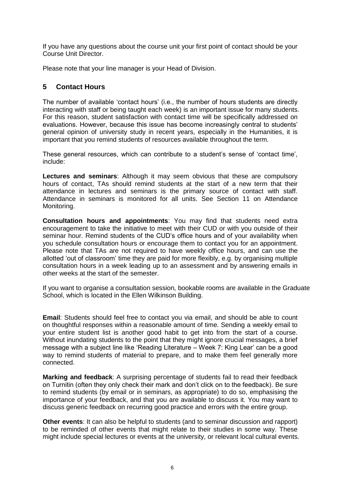If you have any questions about the course unit your first point of contact should be your Course Unit Director.

Please note that your line manager is your Head of Division.

# <span id="page-5-0"></span>**5 Contact Hours**

The number of available 'contact hours' (i.e., the number of hours students are directly interacting with staff or being taught each week) is an important issue for many students. For this reason, student satisfaction with contact time will be specifically addressed on evaluations. However, because this issue has become increasingly central to students' general opinion of university study in recent years, especially in the Humanities, it is important that you remind students of resources available throughout the term.

These general resources, which can contribute to a student's sense of 'contact time', include:

**Lectures and seminars**: Although it may seem obvious that these are compulsory hours of contact, TAs should remind students at the start of a new term that their attendance in lectures and seminars is the primary source of contact with staff. Attendance in seminars is monitored for all units. See Section 11 on Attendance Monitoring.

**Consultation hours and appointments**: You may find that students need extra encouragement to take the initiative to meet with their CUD or with you outside of their seminar hour. Remind students of the CUD's office hours and of your availability when you schedule consultation hours or encourage them to contact you for an appointment. Please note that TAs are not required to have weekly office hours, and can use the allotted 'out of classroom' time they are paid for more flexibly, e.g. by organising multiple consultation hours in a week leading up to an assessment and by answering emails in other weeks at the start of the semester.

If you want to organise a consultation session, bookable rooms are available in the Graduate School, which is located in the Ellen Wilkinson Building.

**Email**: Students should feel free to contact you via email, and should be able to count on thoughtful responses within a reasonable amount of time. Sending a weekly email to your entire student list is another good habit to get into from the start of a course. Without inundating students to the point that they might ignore crucial messages, a brief message with a subject line like 'Reading Literature – Week 7: King Lear' can be a good way to remind students of material to prepare, and to make them feel generally more connected.

**Marking and feedback**: A surprising percentage of students fail to read their feedback on Turnitin (often they only check their mark and don't click on to the feedback). Be sure to remind students (by email or in seminars, as appropriate) to do so, emphasising the importance of your feedback, and that you are available to discuss it. You may want to discuss generic feedback on recurring good practice and errors with the entire group.

**Other events**: It can also be helpful to students (and to seminar discussion and rapport) to be reminded of other events that might relate to their studies in some way. These might include special lectures or events at the university, or relevant local cultural events.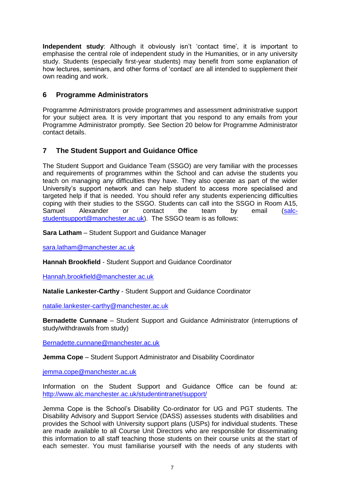**Independent study**: Although it obviously isn't 'contact time', it is important to emphasise the central role of independent study in the Humanities, or in any university study. Students (especially first-year students) may benefit from some explanation of how lectures, seminars, and other forms of 'contact' are all intended to supplement their own reading and work.

# <span id="page-6-0"></span>**6 Programme Administrators**

Programme Administrators provide programmes and assessment administrative support for your subject area. It is very important that you respond to any emails from your Programme Administrator promptly. See Section 20 below for Programme Administrator contact details.

# <span id="page-6-1"></span>**7 The Student Support and Guidance Office**

The Student Support and Guidance Team (SSGO) are very familiar with the processes and requirements of programmes within the School and can advise the students you teach on managing any difficulties they have. They also operate as part of the wider University's support network and can help student to access more specialised and targeted help if that is needed. You should refer any students experiencing difficulties coping with their studies to the SSGO. Students can call into the SSGO in Room A15, Samuel Alexander or contact the team by email [\(salc](mailto:salc-studentsupport@manchester.ac.uk)[studentsupport@manchester.ac.uk\)](mailto:salc-studentsupport@manchester.ac.uk). The SSGO team is as follows:

**Sara Latham** – Student Support and Guidance Manager

[sara.latham@manchester.ac.uk](mailto:sara.latham@manchester.ac.uk)

**Hannah Brookfield** - Student Support and Guidance Coordinator

[Hannah.brookfield@manchester.ac.uk](mailto:Hannah.brookfield@manchester.ac.uk)

**Natalie Lankester-Carthy** - Student Support and Guidance Coordinator

natalie.lankester-carthy@manchester.ac.uk

**Bernadette Cunnane** – Student Support and Guidance Administrator (interruptions of study/withdrawals from study)

[Bernadette.cunnane@manchester.ac.uk](mailto:Bernadette.cunnane@manchester.ac.uk)

**Jemma Cope** – Student Support Administrator and Disability Coordinator

[jemma.cope@manchester.ac.uk](mailto:jemma.cope@manchester.ac.uk) 

Information on the Student Support and Guidance Office can be found at: <http://www.alc.manchester.ac.uk/studentintranet/support/>

Jemma Cope is the School's Disability Co-ordinator for UG and PGT students. The Disability Advisory and Support Service (DASS) assesses students with disabilities and provides the School with University support plans (USPs) for individual students. These are made available to all Course Unit Directors who are responsible for disseminating this information to all staff teaching those students on their course units at the start of each semester. You must familiarise yourself with the needs of any students with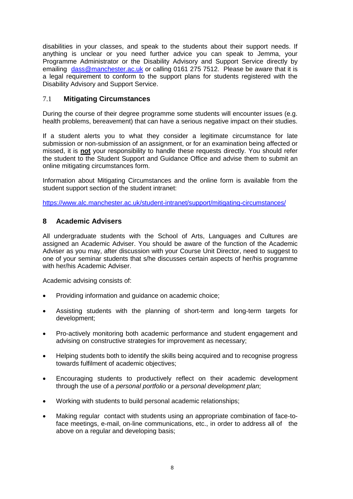disabilities in your classes, and speak to the students about their support needs. If anything is unclear or you need further advice you can speak to Jemma, your Programme Administrator or the Disability Advisory and Support Service directly by emailing [dass@manchester.ac.uk](mailto:dass@manchester.ac.uk) or calling 0161 275 7512. Please be aware that it is a legal requirement to conform to the support plans for students registered with the Disability Advisory and Support Service.

# <span id="page-7-0"></span>7.1 **Mitigating Circumstances**

During the course of their degree programme some students will encounter issues (e.g. health problems, bereavement) that can have a serious negative impact on their studies.

If a student alerts you to what they consider a legitimate circumstance for late submission or non-submission of an assignment, or for an examination being affected or missed, it is **not** your responsibility to handle these requests directly. You should refer the student to the Student Support and Guidance Office and advise them to submit an online mitigating circumstances form.

Information about Mitigating Circumstances and the online form is available from the student support section of the student intranet:

<https://www.alc.manchester.ac.uk/student-intranet/support/mitigating-circumstances/>

# <span id="page-7-1"></span>**8 Academic Advisers**

All undergraduate students with the School of Arts, Languages and Cultures are assigned an Academic Adviser. You should be aware of the function of the Academic Adviser as you may, after discussion with your Course Unit Director, need to suggest to one of your seminar students that s/he discusses certain aspects of her/his programme with her/his Academic Adviser.

Academic advising consists of:

- Providing information and guidance on academic choice;
- Assisting students with the planning of short-term and long-term targets for development;
- Pro-actively monitoring both academic performance and student engagement and advising on constructive strategies for improvement as necessary;
- Helping students both to identify the skills being acquired and to recognise progress towards fulfilment of academic objectives;
- Encouraging students to productively reflect on their academic development through the use of a *personal portfolio* or a *personal development plan*;
- Working with students to build personal academic relationships;
- Making regular contact with students using an appropriate combination of face-toface meetings, e-mail, on-line communications, etc., in order to address all of the above on a regular and developing basis;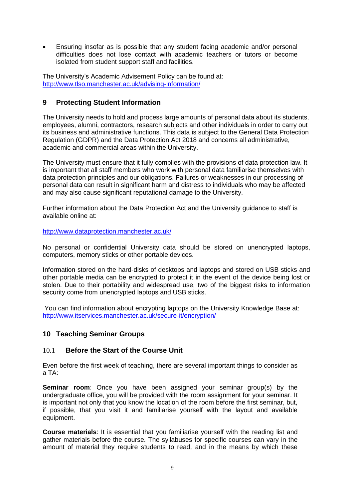Ensuring insofar as is possible that any student facing academic and/or personal difficulties does not lose contact with academic teachers or tutors or become isolated from student support staff and facilities.

The University's Academic Advisement Policy can be found at: <http://www.tlso.manchester.ac.uk/advising-information/>

# <span id="page-8-0"></span>**9 Protecting Student Information**

The University needs to hold and process large amounts of personal data about its students, employees, alumni, contractors, research subjects and other individuals in order to carry out its business and administrative functions. This data is subject to the General Data Protection Regulation (GDPR) and the Data Protection Act 2018 and concerns all administrative, academic and commercial areas within the University.

The University must ensure that it fully complies with the provisions of data protection law. It is important that all staff members who work with personal data familiarise themselves with data protection principles and our obligations. Failures or weaknesses in our processing of personal data can result in significant harm and distress to individuals who may be affected and may also cause significant reputational damage to the University.

Further information about the Data Protection Act and the University guidance to staff is available online at:

http://www.dataprotection.manchester.ac.uk/

No personal or confidential University data should be stored on unencrypted laptops, computers, memory sticks or other portable devices.

Information stored on the hard-disks of desktops and laptops and stored on USB sticks and other portable media can be encrypted to protect it in the event of the device being lost or stolen. Due to their portability and widespread use, two of the biggest risks to information security come from unencrypted laptops and USB sticks.

You can find information about encrypting laptops on the University Knowledge Base at: <http://www.itservices.manchester.ac.uk/secure-it/encryption/>

#### <span id="page-8-1"></span>**10 Teaching Seminar Groups**

#### <span id="page-8-2"></span>10.1 **Before the Start of the Course Unit**

Even before the first week of teaching, there are several important things to consider as a TA:

**Seminar room**: Once you have been assigned your seminar group(s) by the undergraduate office, you will be provided with the room assignment for your seminar. It is important not only that you know the location of the room before the first seminar, but, if possible, that you visit it and familiarise yourself with the layout and available equipment.

**Course materials**: It is essential that you familiarise yourself with the reading list and gather materials before the course. The syllabuses for specific courses can vary in the amount of material they require students to read, and in the means by which these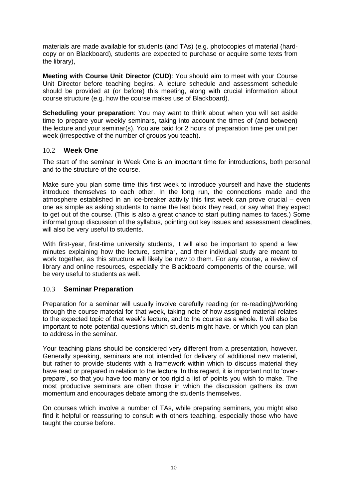materials are made available for students (and TAs) (e.g. photocopies of material (hardcopy or on Blackboard), students are expected to purchase or acquire some texts from the library),

**Meeting with Course Unit Director (CUD)**: You should aim to meet with your Course Unit Director before teaching begins. A lecture schedule and assessment schedule should be provided at (or before) this meeting, along with crucial information about course structure (e.g. how the course makes use of Blackboard).

**Scheduling your preparation**: You may want to think about when you will set aside time to prepare your weekly seminars, taking into account the times of (and between) the lecture and your seminar(s). You are paid for 2 hours of preparation time per unit per week (irrespective of the number of groups you teach).

# <span id="page-9-0"></span>10.2 **Week One**

The start of the seminar in Week One is an important time for introductions, both personal and to the structure of the course.

Make sure you plan some time this first week to introduce yourself and have the students introduce themselves to each other. In the long run, the connections made and the atmosphere established in an ice-breaker activity this first week can prove crucial – even one as simple as asking students to name the last book they read, or say what they expect to get out of the course. (This is also a great chance to start putting names to faces.) Some informal group discussion of the syllabus, pointing out key issues and assessment deadlines, will also be very useful to students.

With first-year, first-time university students, it will also be important to spend a few minutes explaining how the lecture, seminar, and their individual study are meant to work together, as this structure will likely be new to them. For any course, a review of library and online resources, especially the Blackboard components of the course, will be very useful to students as well.

# <span id="page-9-1"></span>10.3 **Seminar Preparation**

Preparation for a seminar will usually involve carefully reading (or re-reading)/working through the course material for that week, taking note of how assigned material relates to the expected topic of that week's lecture, and to the course as a whole. It will also be important to note potential questions which students might have, or which you can plan to address in the seminar.

Your teaching plans should be considered very different from a presentation, however. Generally speaking, seminars are not intended for delivery of additional new material, but rather to provide students with a framework within which to discuss material they have read or prepared in relation to the lecture. In this regard, it is important not to 'overprepare', so that you have too many or too rigid a list of points you wish to make. The most productive seminars are often those in which the discussion gathers its own momentum and encourages debate among the students themselves.

On courses which involve a number of TAs, while preparing seminars, you might also find it helpful or reassuring to consult with others teaching, especially those who have taught the course before.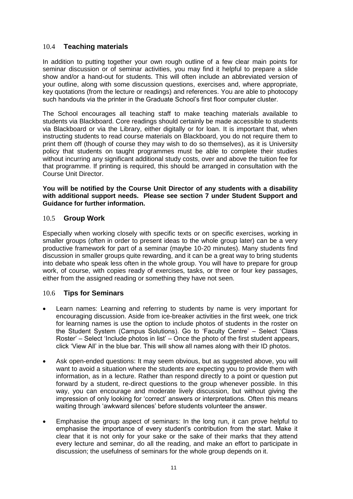# <span id="page-10-0"></span>10.4 **Teaching materials**

In addition to putting together your own rough outline of a few clear main points for seminar discussion or of seminar activities, you may find it helpful to prepare a slide show and/or a hand-out for students. This will often include an abbreviated version of your outline, along with some discussion questions, exercises and, where appropriate, key quotations (from the lecture or readings) and references. You are able to photocopy such handouts via the printer in the Graduate School's first floor computer cluster.

The School encourages all teaching staff to make teaching materials available to students via Blackboard. Core readings should certainly be made accessible to students via Blackboard or via the Library, either digitally or for loan. It is important that, when instructing students to read course materials on Blackboard, you do not require them to print them off (though of course they may wish to do so themselves), as it is University policy that students on taught programmes must be able to complete their studies without incurring any significant additional study costs, over and above the tuition fee for that programme. If printing is required, this should be arranged in consultation with the Course Unit Director.

#### **You will be notified by the Course Unit Director of any students with a disability with additional support needs. Please see section 7 under Student Support and Guidance for further information.**

# <span id="page-10-1"></span>10.5 **Group Work**

Especially when working closely with specific texts or on specific exercises, working in smaller groups (often in order to present ideas to the whole group later) can be a very productive framework for part of a seminar (maybe 10-20 minutes). Many students find discussion in smaller groups quite rewarding, and it can be a great way to bring students into debate who speak less often in the whole group. You will have to prepare for group work, of course, with copies ready of exercises, tasks, or three or four key passages, either from the assigned reading or something they have not seen.

#### <span id="page-10-2"></span>10.6 **Tips for Seminars**

- Learn names: Learning and referring to students by name is very important for encouraging discussion. Aside from ice-breaker activities in the first week, one trick for learning names is use the option to include photos of students in the roster on the Student System (Campus Solutions). Go to 'Faculty Centre' – Select 'Class Roster' – Select 'Include photos in list' – Once the photo of the first student appears, click 'View All' in the blue bar. This will show all names along with their ID photos.
- Ask open-ended questions: It may seem obvious, but as suggested above, you will want to avoid a situation where the students are expecting you to provide them with information, as in a lecture. Rather than respond directly to a point or question put forward by a student, re-direct questions to the group whenever possible. In this way, you can encourage and moderate lively discussion, but without giving the impression of only looking for 'correct' answers or interpretations. Often this means waiting through 'awkward silences' before students volunteer the answer.
- Emphasise the group aspect of seminars: In the long run, it can prove helpful to emphasise the importance of every student's contribution from the start. Make it clear that it is not only for your sake or the sake of their marks that they attend every lecture and seminar, do all the reading, and make an effort to participate in discussion; the usefulness of seminars for the whole group depends on it.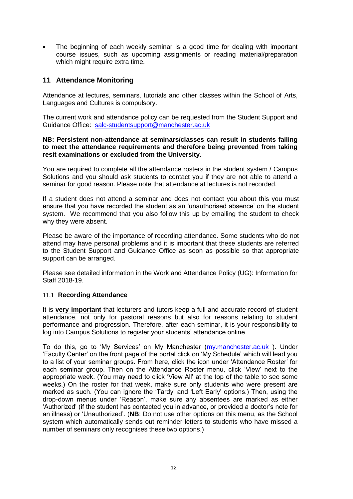The beginning of each weekly seminar is a good time for dealing with important course issues, such as upcoming assignments or reading material/preparation which might require extra time.

# <span id="page-11-0"></span>**11 Attendance Monitoring**

Attendance at lectures, seminars, tutorials and other classes within the School of Arts, Languages and Cultures is compulsory.

The current work and attendance policy can be requested from the Student Support and Guidance Office: [salc-studentsupport@manchester.ac.uk](mailto:salc-studentsupport@manchester.ac.uk)

#### **NB: Persistent non-attendance at seminars/classes can result in students failing to meet the attendance requirements and therefore being prevented from taking resit examinations or excluded from the University.**

You are required to complete all the attendance rosters in the student system / Campus Solutions and you should ask students to contact you if they are not able to attend a seminar for good reason. Please note that attendance at lectures is not recorded.

If a student does not attend a seminar and does not contact you about this you must ensure that you have recorded the student as an 'unauthorised absence' on the student system. We recommend that you also follow this up by emailing the student to check why they were absent.

Please be aware of the importance of recording attendance. Some students who do not attend may have personal problems and it is important that these students are referred to the Student Support and Guidance Office as soon as possible so that appropriate support can be arranged.

Please see detailed information in the Work and Attendance Policy (UG): Information for Staff 2018-19.

#### <span id="page-11-1"></span>11.1 **Recording Attendance**

It is **very important** that lecturers and tutors keep a full and accurate record of student attendance, not only for pastoral reasons but also for reasons relating to student performance and progression. Therefore, after each seminar, it is your responsibility to log into Campus Solutions to register your students' attendance online.

To do this, go to 'My Services' on My Manchester [\(my.manchester.ac.uk](http://portal.manchester.ac.uk/) ). Under 'Faculty Center' on the front page of the portal click on 'My Schedule' which will lead you to a list of your seminar groups. From here, click the icon under 'Attendance Roster' for each seminar group. Then on the Attendance Roster menu, click 'View' next to the appropriate week. (You may need to click 'View All' at the top of the table to see some weeks.) On the roster for that week, make sure only students who were present are marked as such. (You can ignore the 'Tardy' and 'Left Early' options.) Then, using the drop-down menus under 'Reason', make sure any absentees are marked as either 'Authorized' (if the student has contacted you in advance, or provided a doctor's note for an illness) or 'Unauthorized'. (**NB**: Do not use other options on this menu, as the School system which automatically sends out reminder letters to students who have missed a number of seminars only recognises these two options.)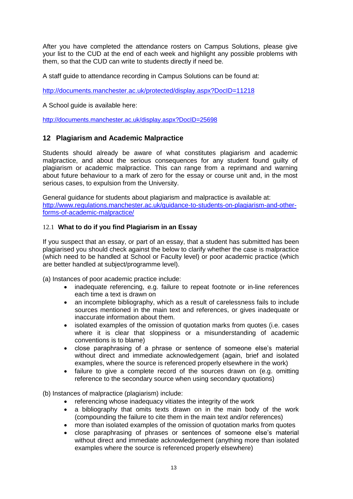After you have completed the attendance rosters on Campus Solutions, please give your list to the CUD at the end of each week and highlight any possible problems with them, so that the CUD can write to students directly if need be.

A staff guide to attendance recording in Campus Solutions can be found at:

<http://documents.manchester.ac.uk/protected/display.aspx?DocID=11218>

A School guide is available here:

<http://documents.manchester.ac.uk/display.aspx?DocID=25698>

# <span id="page-12-0"></span>**12 Plagiarism and Academic Malpractice**

Students should already be aware of what constitutes plagiarism and academic malpractice, and about the serious consequences for any student found guilty of plagiarism or academic malpractice. This can range from a reprimand and warning about future behaviour to a mark of zero for the essay or course unit and, in the most serious cases, to expulsion from the University.

General guidance for students about plagiarism and malpractice is available at: [http://www.regulations.manchester.ac.uk/guidance-to-students-on-plagiarism-and-other](http://www.regulations.manchester.ac.uk/guidance-to-students-on-plagiarism-and-other-forms-of-academic-malpractice/)[forms-of-academic-malpractice/](http://www.regulations.manchester.ac.uk/guidance-to-students-on-plagiarism-and-other-forms-of-academic-malpractice/)

#### <span id="page-12-1"></span>12.1 **What to do if you find Plagiarism in an Essay**

If you suspect that an essay, or part of an essay, that a student has submitted has been plagiarised you should check against the below to clarify whether the case is malpractice (which need to be handled at School or Faculty level) or poor academic practice (which are better handled at subject/programme level).

(a) Instances of poor academic practice include:

- inadequate referencing, e.g. failure to repeat footnote or in-line references each time a text is drawn on
- an incomplete bibliography, which as a result of carelessness fails to include sources mentioned in the main text and references, or gives inadequate or inaccurate information about them.
- isolated examples of the omission of quotation marks from quotes (i.e. cases where it is clear that sloppiness or a misunderstanding of academic conventions is to blame)
- close paraphrasing of a phrase or sentence of someone else's material without direct and immediate acknowledgement (again, brief and isolated examples, where the source is referenced properly elsewhere in the work)
- failure to give a complete record of the sources drawn on (e.g. omitting reference to the secondary source when using secondary quotations)

(b) Instances of malpractice (plagiarism) include:

- referencing whose inadequacy vitiates the integrity of the work
- a bibliography that omits texts drawn on in the main body of the work (compounding the failure to cite them in the main text and/or references)
- more than isolated examples of the omission of quotation marks from quotes
- close paraphrasing of phrases or sentences of someone else's material without direct and immediate acknowledgement (anything more than isolated examples where the source is referenced properly elsewhere)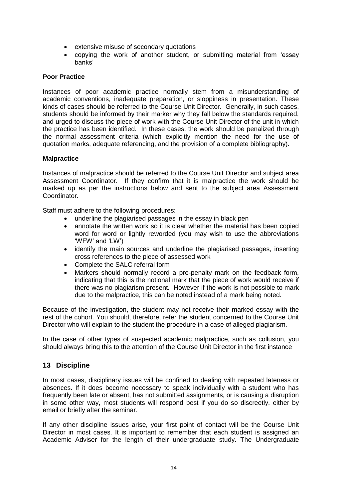- extensive misuse of secondary quotations
- copying the work of another student, or submitting material from 'essay banks'

#### **Poor Practice**

Instances of poor academic practice normally stem from a misunderstanding of academic conventions, inadequate preparation, or sloppiness in presentation. These kinds of cases should be referred to the Course Unit Director. Generally, in such cases, students should be informed by their marker why they fall below the standards required, and urged to discuss the piece of work with the Course Unit Director of the unit in which the practice has been identified. In these cases, the work should be penalized through the normal assessment criteria (which explicitly mention the need for the use of quotation marks, adequate referencing, and the provision of a complete bibliography).

#### **Malpractice**

Instances of malpractice should be referred to the Course Unit Director and subject area Assessment Coordinator. If they confirm that it is malpractice the work should be marked up as per the instructions below and sent to the subject area Assessment Coordinator.

Staff must adhere to the following procedures:

- underline the plagiarised passages in the essay in black pen
- annotate the written work so it is clear whether the material has been copied word for word or lightly reworded (you may wish to use the abbreviations 'WFW' and 'LW')
- identify the main sources and underline the plagiarised passages, inserting cross references to the piece of assessed work
- Complete the SALC referral form
- Markers should normally record a pre-penalty mark on the feedback form, indicating that this is the notional mark that the piece of work would receive if there was no plagiarism present. However if the work is not possible to mark due to the malpractice, this can be noted instead of a mark being noted.

Because of the investigation, the student may not receive their marked essay with the rest of the cohort. You should, therefore, refer the student concerned to the Course Unit Director who will explain to the student the procedure in a case of alleged plagiarism.

In the case of other types of suspected academic malpractice, such as collusion, you should always bring this to the attention of the Course Unit Director in the first instance

# <span id="page-13-0"></span>**13 Discipline**

In most cases, disciplinary issues will be confined to dealing with repeated lateness or absences. If it does become necessary to speak individually with a student who has frequently been late or absent, has not submitted assignments, or is causing a disruption in some other way, most students will respond best if you do so discreetly, either by email or briefly after the seminar.

If any other discipline issues arise, your first point of contact will be the Course Unit Director in most cases. It is important to remember that each student is assigned an Academic Adviser for the length of their undergraduate study. The Undergraduate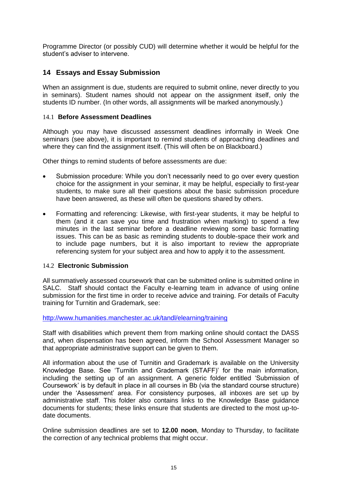Programme Director (or possibly CUD) will determine whether it would be helpful for the student's adviser to intervene.

# <span id="page-14-0"></span>**14 Essays and Essay Submission**

When an assignment is due, students are required to submit online, never directly to you in seminars). Student names should not appear on the assignment itself, only the students ID number. (In other words, all assignments will be marked anonymously.)

#### <span id="page-14-1"></span>14.1 **Before Assessment Deadlines**

Although you may have discussed assessment deadlines informally in Week One seminars (see above), it is important to remind students of approaching deadlines and where they can find the assignment itself. (This will often be on Blackboard.)

Other things to remind students of before assessments are due:

- Submission procedure: While you don't necessarily need to go over every question choice for the assignment in your seminar, it may be helpful, especially to first-year students, to make sure all their questions about the basic submission procedure have been answered, as these will often be questions shared by others.
- Formatting and referencing: Likewise, with first-year students, it may be helpful to them (and it can save you time and frustration when marking) to spend a few minutes in the last seminar before a deadline reviewing some basic formatting issues. This can be as basic as reminding students to double-space their work and to include page numbers, but it is also important to review the appropriate referencing system for your subject area and how to apply it to the assessment.

#### <span id="page-14-2"></span>14.2 **Electronic Submission**

All summatively assessed coursework that can be submitted online is submitted online in SALC. Staff should contact the Faculty e-learning team in advance of using online submission for the first time in order to receive advice and training. For details of Faculty training for Turnitin and Grademark, see:

<http://www.humanities.manchester.ac.uk/tandl/elearning/training>

Staff with disabilities which prevent them from marking online should contact the DASS and, when dispensation has been agreed, inform the School Assessment Manager so that appropriate administrative support can be given to them.

All information about the use of Turnitin and Grademark is available on the University Knowledge Base. See 'Turnitin and Grademark (STAFF)' for the main information, including the setting up of an assignment. A generic folder entitled 'Submission of Coursework' is by default in place in all courses in Bb (via the standard course structure) under the 'Assessment' area. For consistency purposes, all inboxes are set up by administrative staff. This folder also contains links to the Knowledge Base guidance documents for students; these links ensure that students are directed to the most up-todate documents.

Online submission deadlines are set to **12.00 noon**, Monday to Thursday, to facilitate the correction of any technical problems that might occur.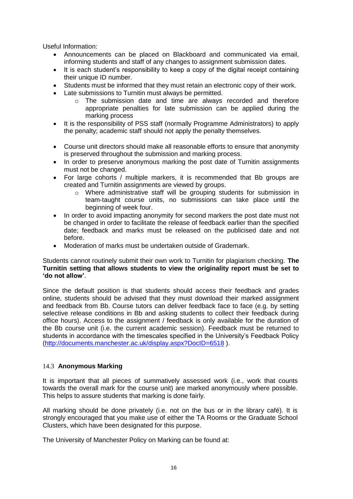Useful Information:

- Announcements can be placed on Blackboard and communicated via email, informing students and staff of any changes to assignment submission dates.
- It is each student's responsibility to keep a copy of the digital receipt containing their unique ID number.
- Students must be informed that they must retain an electronic copy of their work.
- Late submissions to Turnitin must always be permitted.
	- o The submission date and time are always recorded and therefore appropriate penalties for late submission can be applied during the marking process
- It is the responsibility of PSS staff (normally Programme Administrators) to apply the penalty; academic staff should not apply the penalty themselves.
- Course unit directors should make all reasonable efforts to ensure that anonymity is preserved throughout the submission and marking process.
- In order to preserve anonymous marking the post date of Turnitin assignments must not be changed.
- For large cohorts / multiple markers, it is recommended that Bb groups are created and Turnitin assignments are viewed by groups.
	- o Where administrative staff will be grouping students for submission in team-taught course units, no submissions can take place until the beginning of week four.
- In order to avoid impacting anonymity for second markers the post date must not be changed in order to facilitate the release of feedback earlier than the specified date; feedback and marks must be released on the publicised date and not before.
- Moderation of marks must be undertaken outside of Grademark.

#### Students cannot routinely submit their own work to Turnitin for plagiarism checking. **The Turnitin setting that allows students to view the originality report must be set to 'do not allow'**.

Since the default position is that students should access their feedback and grades online, students should be advised that they must download their marked assignment and feedback from Bb. Course tutors can deliver feedback face to face (e.g. by setting selective release conditions in Bb and asking students to collect their feedback during office hours). Access to the assignment / feedback is only available for the duration of the Bb course unit (i.e. the current academic session). Feedback must be returned to students in accordance with the timescales specified in the University's Feedback Policy [\(http://documents.manchester.ac.uk/display.aspx?DocID=6518](http://documents.manchester.ac.uk/display.aspx?DocID=6518) ).

# <span id="page-15-0"></span>14.3 **Anonymous Marking**

It is important that all pieces of summatively assessed work (i.e., work that counts towards the overall mark for the course unit) are marked anonymously where possible. This helps to assure students that marking is done fairly.

All marking should be done privately (i.e. not on the bus or in the library café). It is strongly encouraged that you make use of either the TA Rooms or the Graduate School Clusters, which have been designated for this purpose.

The University of Manchester Policy on Marking can be found at: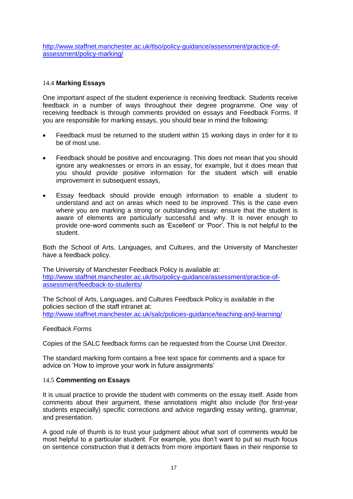[http://www.staffnet.manchester.ac.uk/tlso/policy-guidance/assessment/practice-of](http://www.staffnet.manchester.ac.uk/tlso/policy-guidance/assessment/practice-of-assessment/policy-marking/)[assessment/policy-marking/](http://www.staffnet.manchester.ac.uk/tlso/policy-guidance/assessment/practice-of-assessment/policy-marking/)

#### <span id="page-16-0"></span>14.4 **Marking Essays**

One important aspect of the student experience is receiving feedback. Students receive feedback in a number of ways throughout their degree programme. One way of receiving feedback is through comments provided on essays and Feedback Forms. If you are responsible for marking essays, you should bear in mind the following:

- Feedback must be returned to the student within 15 working days in order for it to be of most use.
- Feedback should be positive and encouraging. This does not mean that you should ignore any weaknesses or errors in an essay, for example, but it does mean that you should provide positive information for the student which will enable improvement in subsequent essays,
- Essay feedback should provide enough information to enable a student to understand and act on areas which need to be improved. This is the case even where you are marking a strong or outstanding essay: ensure that the student is aware of elements are particularly successful and why. It is never enough to provide one-word comments such as 'Excellent' or 'Poor'. This is not helpful to the student.

Both the School of Arts, Languages, and Cultures, and the University of Manchester have a feedback policy.

The University of Manchester Feedback Policy is available at: [http://www.staffnet.manchester.ac.uk/tlso/policy-guidance/assessment/practice-of](http://www.staffnet.manchester.ac.uk/tlso/policy-guidance/assessment/practice-of-assessment/feedback-to-students/)[assessment/feedback-to-students/](http://www.staffnet.manchester.ac.uk/tlso/policy-guidance/assessment/practice-of-assessment/feedback-to-students/)

The School of Arts, Languages, and Cultures Feedback Policy is available in the policies section of the staff intranet at: <http://www.staffnet.manchester.ac.uk/salc/policies-guidance/teaching-and-learning/>

#### *Feedback Forms*

Copies of the SALC feedback forms can be requested from the Course Unit Director.

The standard marking form contains a free text space for comments and a space for advice on 'How to improve your work in future assignments'

#### <span id="page-16-1"></span>14.5 **Commenting on Essays**

It is usual practice to provide the student with comments on the essay itself. Aside from comments about their argument, these annotations might also include (for first-year students especially) specific corrections and advice regarding essay writing, grammar, and presentation.

A good rule of thumb is to trust your judgment about what sort of comments would be most helpful to a particular student. For example, you don't want to put so much focus on sentence construction that it detracts from more important flaws in their response to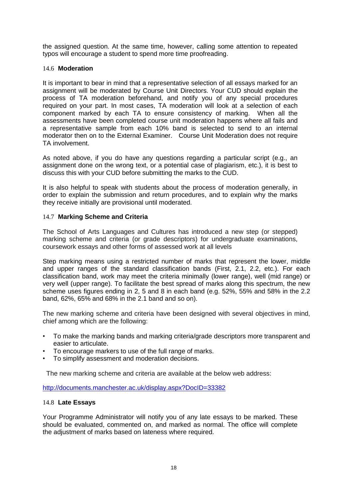the assigned question. At the same time, however, calling some attention to repeated typos will encourage a student to spend more time proofreading.

#### <span id="page-17-0"></span>14.6 **Moderation**

It is important to bear in mind that a representative selection of all essays marked for an assignment will be moderated by Course Unit Directors. Your CUD should explain the process of TA moderation beforehand, and notify you of any special procedures required on your part. In most cases, TA moderation will look at a selection of each component marked by each TA to ensure consistency of marking. When all the assessments have been completed course unit moderation happens where all fails and a representative sample from each 10% band is selected to send to an internal moderator then on to the External Examiner. Course Unit Moderation does not require TA involvement.

As noted above, if you do have any questions regarding a particular script (e.g., an assignment done on the wrong text, or a potential case of plagiarism, etc.), it is best to discuss this with your CUD before submitting the marks to the CUD.

It is also helpful to speak with students about the process of moderation generally, in order to explain the submission and return procedures, and to explain why the marks they receive initially are provisional until moderated.

#### <span id="page-17-1"></span>14.7 **Marking Scheme and Criteria**

The School of Arts Languages and Cultures has introduced a new step (or stepped) marking scheme and criteria (or grade descriptors) for undergraduate examinations, coursework essays and other forms of assessed work at all levels

Step marking means using a restricted number of marks that represent the lower, middle and upper ranges of the standard classification bands (First, 2.1, 2.2, etc.). For each classification band, work may meet the criteria minimally (lower range), well (mid range) or very well (upper range). To facilitate the best spread of marks along this spectrum, the new scheme uses figures ending in 2, 5 and 8 in each band (e.g. 52%, 55% and 58% in the 2.2 band, 62%, 65% and 68% in the 2.1 band and so on).

The new marking scheme and criteria have been designed with several objectives in mind, chief among which are the following:

- To make the marking bands and marking criteria/grade descriptors more transparent and easier to articulate.
- To encourage markers to use of the full range of marks.
- To simplify assessment and moderation decisions.

The new marking scheme and criteria are available at the below web address:

<http://documents.manchester.ac.uk/display.aspx?DocID=33382>

#### <span id="page-17-2"></span>14.8 **Late Essays**

Your Programme Administrator will notify you of any late essays to be marked. These should be evaluated, commented on, and marked as normal. The office will complete the adjustment of marks based on lateness where required.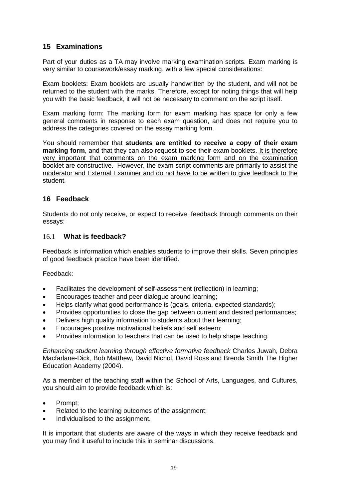# <span id="page-18-0"></span>**15 Examinations**

Part of your duties as a TA may involve marking examination scripts. Exam marking is very similar to coursework/essay marking, with a few special considerations:

Exam booklets: Exam booklets are usually handwritten by the student, and will not be returned to the student with the marks. Therefore, except for noting things that will help you with the basic feedback, it will not be necessary to comment on the script itself.

Exam marking form: The marking form for exam marking has space for only a few general comments in response to each exam question, and does not require you to address the categories covered on the essay marking form.

You should remember that **students are entitled to receive a copy of their exam marking form**, and that they can also request to see their exam booklets. It is therefore very important that comments on the exam marking form and on the examination booklet are constructive. However, the exam script comments are primarily to assist the moderator and External Examiner and do not have to be written to give feedback to the student.

# <span id="page-18-1"></span>**16 Feedback**

Students do not only receive, or expect to receive, feedback through comments on their essays:

#### <span id="page-18-2"></span>16.1 **What is feedback?**

Feedback is information which enables students to improve their skills. Seven principles of good feedback practice have been identified.

Feedback:

- Facilitates the development of self-assessment (reflection) in learning;
- Encourages teacher and peer dialogue around learning;
- Helps clarify what good performance is (goals, criteria, expected standards);
- Provides opportunities to close the gap between current and desired performances;
- Delivers high quality information to students about their learning;
- Encourages positive motivational beliefs and self esteem;
- Provides information to teachers that can be used to help shape teaching.

*Enhancing student learning through effective formative feedback* Charles Juwah, Debra Macfarlane-Dick, Bob Matthew, David Nichol, David Ross and Brenda Smith The Higher Education Academy (2004).

As a member of the teaching staff within the School of Arts, Languages, and Cultures, you should aim to provide feedback which is:

- Prompt;
- Related to the learning outcomes of the assignment;
- Individualised to the assignment.

It is important that students are aware of the ways in which they receive feedback and you may find it useful to include this in seminar discussions.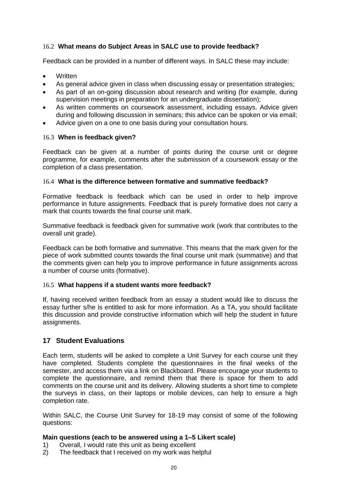# <span id="page-19-0"></span>16.2 **What means do Subject Areas in SALC use to provide feedback?**

Feedback can be provided in a number of different ways. In SALC these may include:

- Written
- As general advice given in class when discussing essay or presentation strategies;
- As part of an on-going discussion about research and writing (for example, during supervision meetings in preparation for an undergraduate dissertation);
- As written comments on coursework assessment, including essays. Advice given during and following discussion in seminars; this advice can be spoken or via email;
- Advice given on a one to one basis during your consultation hours.

#### <span id="page-19-1"></span>16.3 **When is feedback given?**

Feedback can be given at a number of points during the course unit or degree programme, for example, comments after the submission of a coursework essay or the completion of a class presentation.

#### <span id="page-19-2"></span>16.4 **What is the difference between formative and summative feedback?**

Formative feedback is feedback which can be used in order to help improve performance in future assignments. Feedback that is purely formative does not carry a mark that counts towards the final course unit mark.

Summative feedback is feedback given for summative work (work that contributes to the overall unit grade).

Feedback can be both formative and summative. This means that the mark given for the piece of work submitted counts towards the final course unit mark (summative) and that the comments given can help you to improve performance in future assignments across a number of course units (formative).

#### <span id="page-19-3"></span>16.5 **What happens if a student wants more feedback?**

If, having received written feedback from an essay a student would like to discuss the essay further s/he is entitled to ask for more information. As a TA, you should facilitate this discussion and provide constructive information which will help the student in future assignments.

#### <span id="page-19-4"></span>**17 Student Evaluations**

Each term, students will be asked to complete a Unit Survey for each course unit they have completed. Students complete the questionnaires in the final weeks of the semester, and access them via a link on Blackboard. Please encourage your students to complete the questionnaire, and remind them that there is space for them to add comments on the course unit and its delivery. Allowing students a short time to complete the surveys in class, on their laptops or mobile devices, can help to ensure a high completion rate.

Within SALC, the Course Unit Survey for 18-19 may consist of some of the following questions:

#### **Main questions (each to be answered using a 1–5 Likert scale)**

- 1) Overall, I would rate this unit as being excellent
- 2) The feedback that I received on my work was helpful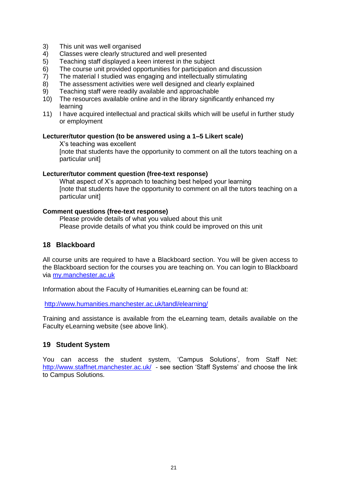- 3) This unit was well organised
- 4) Classes were clearly structured and well presented
- 5) Teaching staff displayed a keen interest in the subject
- 6) The course unit provided opportunities for participation and discussion
- 7) The material I studied was engaging and intellectually stimulating
- 8) The assessment activities were well designed and clearly explained
- 9) Teaching staff were readily available and approachable
- 10) The resources available online and in the library significantly enhanced my learning
- 11) I have acquired intellectual and practical skills which will be useful in further study or employment

#### **Lecturer/tutor question (to be answered using a 1–5 Likert scale)**

#### X's teaching was excellent

[note that students have the opportunity to comment on all the tutors teaching on a particular unit]

#### **Lecturer/tutor comment question (free-text response)**

What aspect of X's approach to teaching best helped your learning [note that students have the opportunity to comment on all the tutors teaching on a particular unit]

#### **Comment questions (free-text response)**

Please provide details of what you valued about this unit Please provide details of what you think could be improved on this unit

#### <span id="page-20-0"></span>**18 Blackboard**

All course units are required to have a Blackboard section. You will be given access to the Blackboard section for the courses you are teaching on. You can login to Blackboard via [my.manchester.ac.uk](file://///vdm02-g1.ds.man.ac.uk/fs_shared_01$/Hum1/ALC/SALC%20Teaching%20and%20Learning/Handbooks/TA%20Handbook/2017-18/my.manchester.ac.uk)

Information about the Faculty of Humanities eLearning can be found at:

<http://www.humanities.manchester.ac.uk/tandl/elearning/>

Training and assistance is available from the eLearning team, details available on the Faculty eLearning website (see above link).

# <span id="page-20-1"></span>**19 Student System**

You can access the student system, 'Campus Solutions', from Staff Net: <http://www.staffnet.manchester.ac.uk/> - see section 'Staff Systems' and choose the link to Campus Solutions.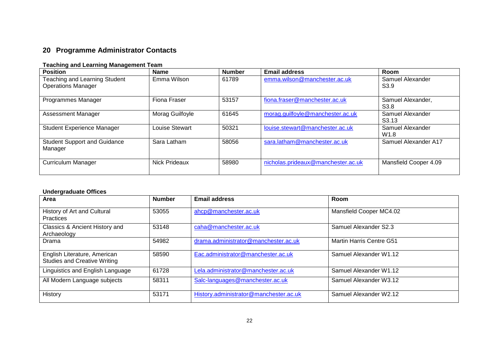# **20 Programme Administrator Contacts**

## **Teaching and Learning Management Team**

| <b>Position</b>                                            | <b>Name</b>          | <b>Number</b> | <b>Email address</b>               | Room                                  |
|------------------------------------------------------------|----------------------|---------------|------------------------------------|---------------------------------------|
| Teaching and Learning Student<br><b>Operations Manager</b> | Emma Wilson          | 61789         | emma.wilson@manchester.ac.uk       | Samuel Alexander<br>S3.9              |
| Programmes Manager                                         | Fiona Fraser         | 53157         | fiona.fraser@manchester.ac.uk      | Samuel Alexander,<br>S <sub>3.8</sub> |
| Assessment Manager                                         | Morag Guilfoyle      | 61645         | morag.guilfoyle@manchester.ac.uk   | Samuel Alexander<br>S <sub>3.13</sub> |
| Student Experience Manager                                 | Louise Stewart       | 50321         | louise.stewart@manchester.ac.uk    | Samuel Alexander<br>W <sub>1.8</sub>  |
| <b>Student Support and Guidance</b><br>Manager             | Sara Latham          | 58056         | sara.latham@manchester.ac.uk       | Samuel Alexander A17                  |
| <b>Curriculum Manager</b>                                  | <b>Nick Prideaux</b> | 58980         | nicholas.prideaux@manchester.ac.uk | Mansfield Cooper 4.09                 |

#### <span id="page-21-0"></span>**Undergraduate Offices**

| Area                                                                | <b>Number</b> | <b>Email address</b>                   | Room                            |
|---------------------------------------------------------------------|---------------|----------------------------------------|---------------------------------|
| History of Art and Cultural<br><b>Practices</b>                     | 53055         | ahcp@manchester.ac.uk                  | Mansfield Cooper MC4.02         |
| Classics & Ancient History and<br>Archaeology                       | 53148         | caha@manchester.ac.uk                  | Samuel Alexander S2.3           |
| Drama                                                               | 54982         | drama.administrator@manchester.ac.uk   | <b>Martin Harris Centre G51</b> |
| English Literature, American<br><b>Studies and Creative Writing</b> | 58590         | Eac.administrator@manchester.ac.uk     | Samuel Alexander W1.12          |
| Linguistics and English Language                                    | 61728         | Lela.administrator@manchester.ac.uk    | Samuel Alexander W1.12          |
| All Modern Language subjects                                        | 58311         | Salc-languages@manchester.ac.uk        | Samuel Alexander W3.12          |
| History                                                             | 53171         | History.administrator@manchester.ac.uk | Samuel Alexander W2.12          |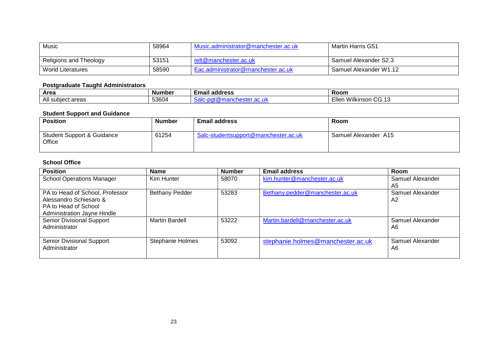| Music                    | 58964 | Music.administrator@manchester.ac.uk | Martin Harris G51      |
|--------------------------|-------|--------------------------------------|------------------------|
| Religions and Theology   | 53151 | relt@manchester.ac.uk                | Samuel Alexander S2.3  |
| <b>World Literatures</b> | 58590 | Eac.administrator@manchester.ac.uk   | Samuel Alexander W1.12 |

#### **Postgraduate Taught Administrators**

| Area              | Number | $-$<br><b>⊧mail address</b> | Room                                                  |
|-------------------|--------|-----------------------------|-------------------------------------------------------|
| All subject areas | 53604  | $\sim$<br>au.ur             | .<br>~~<br>:ller<br>VVIIKINSON<br>. .<br><b>UU.IJ</b> |

#### **Student Support and Guidance**

| . .<br><b>Position</b>                          | <b>Number</b> | <b>Email address</b>                 | Room                 |
|-------------------------------------------------|---------------|--------------------------------------|----------------------|
| <b>Student Support &amp; Guidance</b><br>Office | 61254         | Salc-studentsupport@manchester.ac.uk | Samuel Alexander A15 |

#### **School Office**

| <b>Position</b>                    | <b>Name</b>             | <b>Number</b> | <b>Email address</b>              | Room             |
|------------------------------------|-------------------------|---------------|-----------------------------------|------------------|
| <b>School Operations Manager</b>   | Kim Hunter              | 58070         | kim.hunter@manchester.ac.uk       | Samuel Alexander |
|                                    |                         |               |                                   | A5               |
| PA to Head of School, Professor    | <b>Bethany Pedder</b>   | 53283         | Bethany.pedder@manchester.ac.uk   | Samuel Alexander |
| Alessandro Schiesaro &             |                         |               |                                   | A2               |
| PA to Head of School               |                         |               |                                   |                  |
| <b>Administration Jayne Hindle</b> |                         |               |                                   |                  |
| Senior Divisional Support          | <b>Martin Bardell</b>   | 53222         | Martin.bardell@manchester.ac.uk   | Samuel Alexander |
| Administrator                      |                         |               |                                   | A6               |
|                                    |                         |               |                                   |                  |
| Senior Divisional Support          | <b>Stephanie Holmes</b> | 53092         | stephanie.holmes@manchester.ac.uk | Samuel Alexander |
| Administrator                      |                         |               |                                   | A6               |
|                                    |                         |               |                                   |                  |